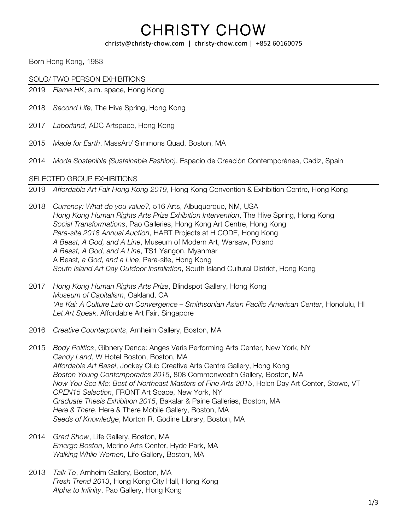#### christy@christy-chow.com | christy-chow.com | +852 60160075

Born Hong Kong, 1983

SOLO/ TWO PERSON EXHIBITIONS

- 2019 *Flame HK*, a.m. space, Hong Kong
- 2018 *Second Life*, The Hive Spring, Hong Kong
- 2017 *Laborland*, ADC Artspace, Hong Kong
- 2015 *Made for Earth*, MassArt/ Simmons Quad, Boston, MA
- 2014 *Moda Sostenible (Sustainable Fashion)*, Espacio de Creación Contemporánea, Cadiz, Spain

#### SELECTED GROUP EXHIBITIONS

2019 *Affordable Art Fair Hong Kong 2019*, Hong Kong Convention & Exhibition Centre, Hong Kong

- 2018 *Currency: What do you value?,* 516 Arts, Albuquerque, NM, USA *Hong Kong Human Rights Arts Prize Exhibition Intervention*, The Hive Spring, Hong Kong *Social Transformations*, Pao Galleries, Hong Kong Art Centre, Hong Kong *Para-site 2018 Annual Auction*, HART Projects at H CODE, Hong Kong *A Beast, A God, and A Line*, Museum of Modern Art, Warsaw, Poland *A Beast, A God, and A Line*, TS1 Yangon, Myanmar A Beast*, a God, and a Line*, Para-site, Hong Kong *South Island Art Day Outdoor Installation*, South Island Cultural District, Hong Kong
- 2017 *Hong Kong Human Rights Arts Prize*, Blindspot Gallery, Hong Kong *Museum of Capitalism*, Oakland, CA *'Ae Kai: A Culture Lab on Convergence – Smithsonian Asian Pacific American Center*, Honolulu, HI *Let Art Speak*, Affordable Art Fair, Singapore
- 2016 *Creative Counterpoints*, Arnheim Gallery, Boston, MA
- 2015 *Body Politics*, Gibnery Dance: Anges Varis Performing Arts Center, New York, NY *Candy Land*, W Hotel Boston, Boston, MA *Affordable Art Basel*, Jockey Club Creative Arts Centre Gallery, Hong Kong *Boston Young Contemporaries 2015*, 808 Commonwealth Gallery, Boston, MA *Now You See Me: Best of Northeast Masters of Fine Arts 2015*, Helen Day Art Center, Stowe, VT *OPEN15 Selection*, FRONT Art Space, New York, NY *Graduate Thesis Exhibition 2015*, Bakalar & Paine Galleries, Boston, MA *Here & There*, Here & There Mobile Gallery, Boston, MA *Seeds of Knowledge*, Morton R. Godine Library, Boston, MA
- 2014 *Grad Show*, Life Gallery, Boston, MA *Emerge Boston*, Merino Arts Center, Hyde Park, MA *Walking While Women*, Life Gallery, Boston, MA
- 2013 *Talk To*, Arnheim Gallery, Boston, MA *Fresh Trend 2013*, Hong Kong City Hall, Hong Kong *Alpha to Infinity*, Pao Gallery, Hong Kong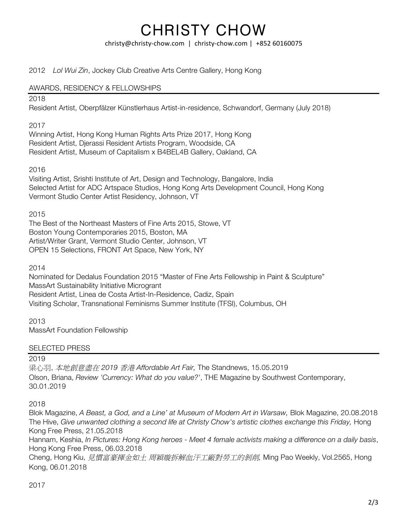christy@christy-chow.com | christy-chow.com | +852 60160075

2012 *Lol Wui Zin*, Jockey Club Creative Arts Centre Gallery, Hong Kong

### AWARDS, RESIDENCY & FELLOWSHIPS

### 2018

Resident Artist, Oberpfälzer Künstlerhaus Artist-in-residence, Schwandorf, Germany (July 2018)

### 2017

Winning Artist, Hong Kong Human Rights Arts Prize 2017, Hong Kong Resident Artist, Djerassi Resident Artists Program, Woodside, CA Resident Artist, Museum of Capitalism x B4BEL4B Gallery, Oakland, CA

### 2016

Visiting Artist, Srishti Institute of Art, Design and Technology, Bangalore, India Selected Artist for ADC Artspace Studios, Hong Kong Arts Development Council, Hong Kong Vermont Studio Center Artist Residency, Johnson, VT

#### 2015

The Best of the Northeast Masters of Fine Arts 2015, Stowe, VT Boston Young Contemporaries 2015, Boston, MA Artist/Writer Grant, Vermont Studio Center, Johnson, VT OPEN 15 Selections, FRONT Art Space, New York, NY

2014

Nominated for Dedalus Foundation 2015 "Master of Fine Arts Fellowship in Paint & Sculpture" MassArt Sustainability Initiative Microgrant Resident Artist, Linea de Costa Artist-In-Residence, Cadiz, Spain Visiting Scholar, Transnational Feminisms Summer Institute (TFSI), Columbus, OH

2013 MassArt Foundation Fellowship

#### SELECTED PRESS

#### 2019

梁心羽, 本地創意盡在 *2019* 香港 *Affordable Art Fair,* The Standnews, 15.05.2019 Olson, Briana, *Review 'Currency: What do you value?'*, THE Magazine by Southwest Contemporary, 30.01.2019

#### 2018

Blok Magazine, *A Beast, a God, and a Line' at Museum of Modern Art in Warsaw,* Blok Magazine, 20.08.2018 The Hive, *Give unwanted clothing a second life at Christy Chow's artistic clothes exchange this Friday,* Hong Kong Free Press, 21.05.2018

Hannam, Keshia, *In Pictures: Hong Kong heroes - Meet 4 female activists making a difference on a daily basis*, Hong Kong Free Press, 06.03.2018

Cheng, Hong Kiu, 見慣富豪揮金如土 周穎璇拆解血汗工廠對勞工的剝削*,* Ming Pao Weekly, Vol.2565, Hong Kong, 06.01.2018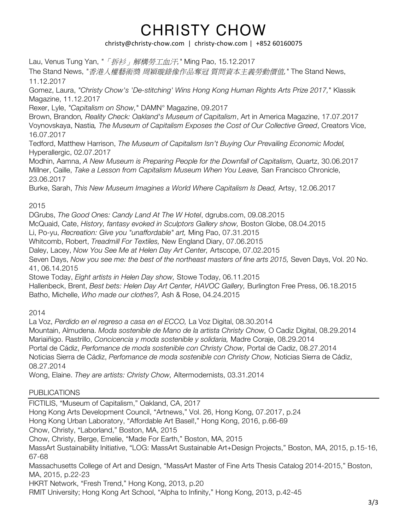## christy@christy-chow.com | christy-chow.com | +852 60160075

Lau, Venus Tung Yan, *"*「拆衫」解構勞工血汗*,"* Ming Pao, 15.12.2017 The Stand News, *"*香港人權藝術獎 周穎璇錄像作品奪冠 質問資本主義勞動價值*,"* The Stand News, 11.12.2017 Gomez, Laura, *"Christy Chow's 'De-stitching' Wins Hong Kong Human Rights Arts Prize 2017,*" Klassik Magazine, 11.12.2017 Rexer, Lyle, *"Capitalism on Show,*" DAMN° Magazine, 09.2017 Brown, Brandon*, Reality Check: Oakland's Museum of Capitalism*, Art in America Magazine, 17.07.2017 Voynovskaya, Nastia*, The Museum of Capitalism Exposes the Cost of Our Collective Greed*, Creators Vice, 16.07.2017 Tedford, Matthew Harrison, *The Museum of Capitalism Isn't Buying Our Prevailing Economic Model,* Hyperallergic, 02.07.2017 Modhin, Aamna, *A New Museum is Preparing People for the Downfall of Capitalism,* Quartz, 30.06.2017

Millner, Caille, *Take a Lesson from Capitalism Museum When You Leave,* San Francisco Chronicle, 23.06.2017

Burke, Sarah, *This New Museum Imagines a World Where Capitalism Is Dead,* Artsy, 12.06.2017

## 2015

DGrubs, *The Good Ones: Candy Land At The W Hotel*, dgrubs.com, 09.08.2015

McQuaid, Cate, *History, fantasy evoked in Sculptors Gallery show,* Boston Globe, 08.04.2015

Li, Po-yu, *Recreation: Give you "unaffordable" art,* Ming Pao, 07.31.2015

Whitcomb, Robert, *Treadmill For Textiles,* New England Diary, 07.06.2015

Daley, Lacey, *Now You See Me at Helen Day Art Center,* Artscope, 07.02.2015

Seven Days, *Now you see me: the best of the northeast masters of fine arts 2015,* Seven Days, Vol. 20 No. 41, 06.14.2015

Stowe Today, *Eight artists in Helen Day show,* Stowe Today, 06.11.2015

Hallenbeck, Brent, *Best bets: Helen Day Art Center, HAVOC Gallery,* Burlington Free Press, 06.18.2015 Batho, Michelle, *Who made our clothes?,* Ash & Rose, 04.24.2015

2014

La Voz, *Perdido en el regreso a casa en el ECCO,* La Voz Digital, 08.30.2014 Mountain, Almudena. *Moda sostenible de Mano de la artista Christy Chow,* O Cadiz Digital, 08.29.2014 Mariaiñigo. Rastrillo, *Concicencia y moda sostenible y solidaria,* Madre Coraje, 08.29.2014 Portal de Cádiz, *Perfomance de moda sostenible con Christy Chow,* Portal de Cadiz, 08.27.2014 Noticias Sierra de Cádiz, *Perfomance de moda sostenible con Christy Chow,* Noticias Sierra de Cádiz, 08.27.2014

Wong, Elaine. *They are artists: Christy Chow,* Altermodernists, 03.31.2014

## PUBLICATIONS

FICTILIS, "Museum of Capitalism," Oakland, CA, 2017 Hong Kong Arts Development Council, "Artnews," Vol. 26, Hong Kong, 07.2017, p.24 Hong Kong Urban Laboratory, "Affordable Art Basel!," Hong Kong, 2016, p.66-69 Chow, Christy, "Laborland," Boston, MA, 2015 Chow, Christy, Berge, Emelie, "Made For Earth," Boston, MA, 2015 MassArt Sustainability Initiative, "LOG: MassArt Sustainable Art+Design Projects," Boston, MA, 2015, p.15-16, 67-68 Massachusetts College of Art and Design, "MassArt Master of Fine Arts Thesis Catalog 2014-2015," Boston, MA, 2015, p.22-23 HKRT Network, "Fresh Trend," Hong Kong, 2013, p.20 RMIT University; Hong Kong Art School, "Alpha to Infinity," Hong Kong, 2013, p.42-45